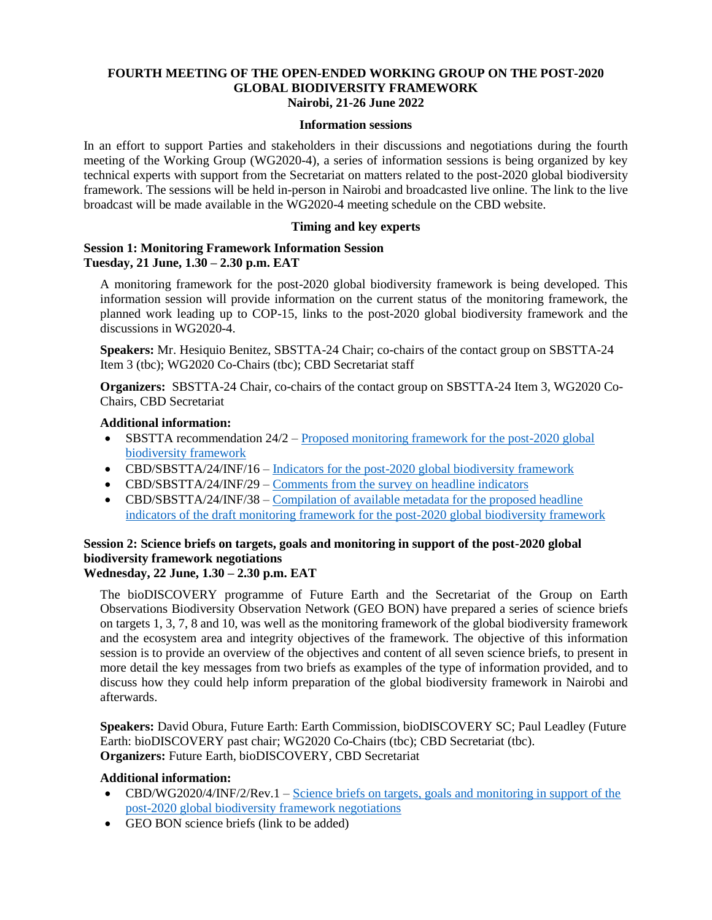### **FOURTH MEETING OF THE OPEN-ENDED WORKING GROUP ON THE POST-2020 GLOBAL BIODIVERSITY FRAMEWORK Nairobi, 21-26 June 2022**

#### **Information sessions**

In an effort to support Parties and stakeholders in their discussions and negotiations during the fourth meeting of the Working Group (WG2020-4), a series of information sessions is being organized by key technical experts with support from the Secretariat on matters related to the post-2020 global biodiversity framework. The sessions will be held in-person in Nairobi and broadcasted live online. The link to the live broadcast will be made available in the WG2020-4 meeting schedule on the CBD website.

### **Timing and key experts**

# **Session 1: Monitoring Framework Information Session Tuesday, 21 June, 1.30 – 2.30 p.m. EAT**

A monitoring framework for the post-2020 global biodiversity framework is being developed. This information session will provide information on the current status of the monitoring framework, the planned work leading up to COP-15, links to the post-2020 global biodiversity framework and the discussions in WG2020-4.

**Speakers:** Mr. Hesiquio Benitez, SBSTTA-24 Chair; co-chairs of the contact group on SBSTTA-24 Item 3 (tbc); WG2020 Co-Chairs (tbc); CBD Secretariat staff

**Organizers:** SBSTTA-24 Chair, co-chairs of the contact group on SBSTTA-24 Item 3, WG2020 Co-Chairs, CBD Secretariat

### **Additional information:**

- SBSTTA recommendation 24/2 [Proposed monitoring framework for the post-2020 global](https://www.cbd.int/doc/recommendations/sbstta-24/sbstta-24-rec-02-en.pdf)  [biodiversity framework](https://www.cbd.int/doc/recommendations/sbstta-24/sbstta-24-rec-02-en.pdf)
- CBD/SBSTTA/24/INF/16 [Indicators for the post-2020 global biodiversity framework](https://www.cbd.int/doc/c/a6d3/3108/88518eab9c9d12b1c418398d/sbstta-24-inf-16-en.pdf)
- CBD/SBSTTA/24/INF/29 [Comments from the survey on headline indicators](https://www.cbd.int/doc/c/e068/9905/299212eac8dc52bac49de7ba/sbstta-24-inf-29-en.pdf)
- CBD/SBSTTA/24/INF/38 Compilation of available metadata for the proposed headline [indicators of the draft monitoring framework for the post-2020 global biodiversity framework](https://www.cbd.int/doc/c/72c0/7986/05fe89f0ae9898fdc872e144/sbstta-24-inf-38-en.pdf)

# **Session 2: Science briefs on targets, goals and monitoring in support of the post-2020 global biodiversity framework negotiations**

# **Wednesday, 22 June, 1.30 – 2.30 p.m. EAT**

The bioDISCOVERY programme of Future Earth and the Secretariat of the Group on Earth Observations Biodiversity Observation Network (GEO BON) have prepared a series of science briefs on targets 1, 3, 7, 8 and 10, was well as the monitoring framework of the global biodiversity framework and the ecosystem area and integrity objectives of the framework. The objective of this information session is to provide an overview of the objectives and content of all seven science briefs, to present in more detail the key messages from two briefs as examples of the type of information provided, and to discuss how they could help inform preparation of the global biodiversity framework in Nairobi and afterwards.

**Speakers:** David Obura, Future Earth: Earth Commission, bioDISCOVERY SC; Paul Leadley (Future Earth: bioDISCOVERY past chair; WG2020 Co-Chairs (tbc); CBD Secretariat (tbc). **Organizers:** Future Earth, bioDISCOVERY, CBD Secretariat

#### **Additional information:**

- CBD/WG2020/4/INF/2/Rev.1 Science briefs on targets, goals and monitoring in support of the [post-2020 global biodiversity framework negotiations](https://www.cbd.int/doc/c/6053/38a4/3710d6e83f5b006ef774607d/wg2020-04-inf-02-rev-01-en.pdf)
- GEO BON science briefs (link to be added)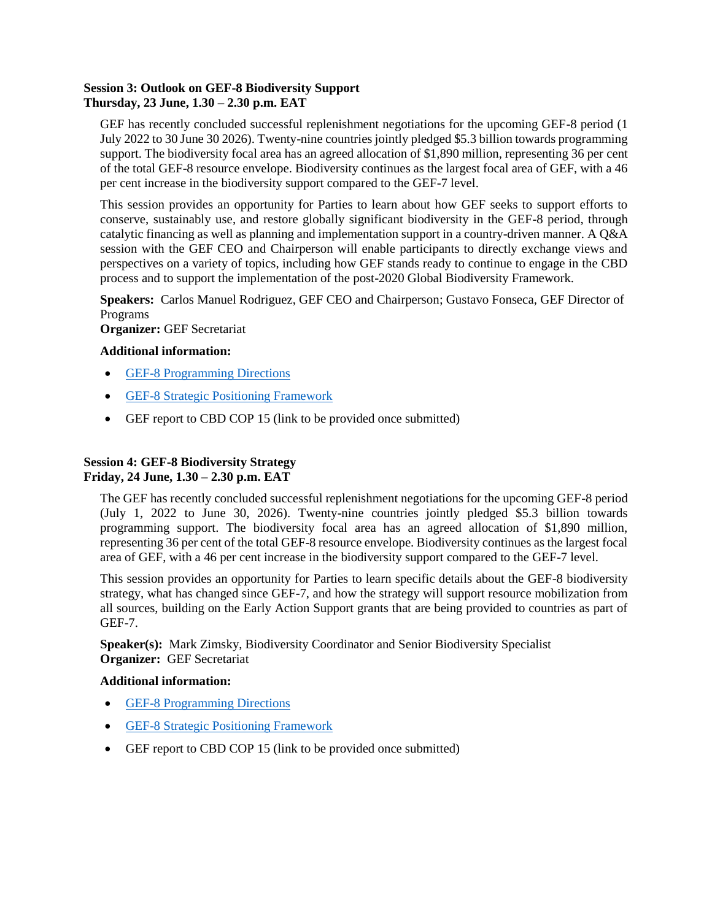# **Session 3: Outlook on GEF-8 Biodiversity Support Thursday, 23 June, 1.30 – 2.30 p.m. EAT**

GEF has recently concluded successful replenishment negotiations for the upcoming GEF-8 period (1 July 2022 to 30 June 30 2026). Twenty-nine countries jointly pledged \$5.3 billion towards programming support. The biodiversity focal area has an agreed allocation of \$1,890 million, representing 36 per cent of the total GEF-8 resource envelope. Biodiversity continues as the largest focal area of GEF, with a 46 per cent increase in the biodiversity support compared to the GEF-7 level.

This session provides an opportunity for Parties to learn about how GEF seeks to support efforts to conserve, sustainably use, and restore globally significant biodiversity in the GEF-8 period, through catalytic financing as well as planning and implementation support in a country-driven manner. A Q&A session with the GEF CEO and Chairperson will enable participants to directly exchange views and perspectives on a variety of topics, including how GEF stands ready to continue to engage in the CBD process and to support the implementation of the post-2020 Global Biodiversity Framework.

**Speakers:** Carlos Manuel Rodriguez, GEF CEO and Chairperson; Gustavo Fonseca, GEF Director of Programs

**Organizer:** GEF Secretariat

# **Additional information:**

- [GEF-8 Programming Directions](https://www.thegef.org/council-meeting-documents/gef-r-08-29-rev-01)
- [GEF-8 Strategic Positioning Framework](https://www.thegef.org/council-meeting-documents/gef-r-08-28)
- GEF report to CBD COP 15 (link to be provided once submitted)

# **Session 4: GEF-8 Biodiversity Strategy Friday, 24 June, 1.30 – 2.30 p.m. EAT**

The GEF has recently concluded successful replenishment negotiations for the upcoming GEF-8 period (July 1, 2022 to June 30, 2026). Twenty-nine countries jointly pledged \$5.3 billion towards programming support. The biodiversity focal area has an agreed allocation of \$1,890 million, representing 36 per cent of the total GEF-8 resource envelope. Biodiversity continues as the largest focal area of GEF, with a 46 per cent increase in the biodiversity support compared to the GEF-7 level.

This session provides an opportunity for Parties to learn specific details about the GEF-8 biodiversity strategy, what has changed since GEF-7, and how the strategy will support resource mobilization from all sources, building on the Early Action Support grants that are being provided to countries as part of GEF-7.

**Speaker(s):** Mark Zimsky, Biodiversity Coordinator and Senior Biodiversity Specialist **Organizer:** GEF Secretariat

### **Additional information:**

- [GEF-8 Programming Directions](https://www.thegef.org/council-meeting-documents/gef-r-08-29-rev-01)
- **[GEF-8 Strategic Positioning Framework](https://www.thegef.org/council-meeting-documents/gef-r-08-28)**
- GEF report to CBD COP 15 (link to be provided once submitted)